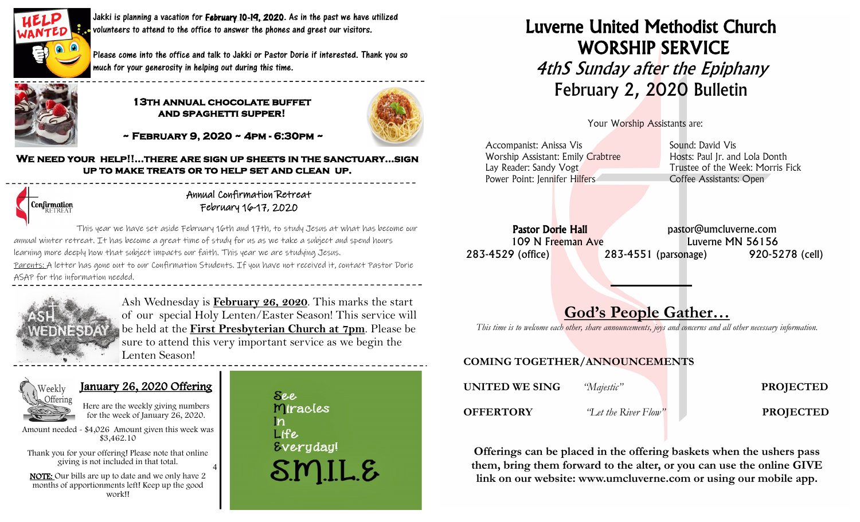

L

Jakki is planning a vacation for **February 10-19, 2020**. As in the past we have utilized **v** volunteers to attend to the office to answer the phones and greet our visitors.

Please come into the office and talk to Jakki or Pastor Dorie if interested. Thank you so much for your generosity in helping out during this time.



#### **13th annual chocolate buffet and spaghetti supper!**



 **~ February 9, 2020 ~ 4pm - 6:30pm ~** 

**We need your help!!...there are sign up sheets in the sanctuary...sign up to make treats or to help set and clean up.**



Annual Confirmation Retreat February 16-17, 2020

This year we have set aside February 16th and 17th, to study Jesus at what has become our annual winter retreat. It has become a great time of study for us as we take a subject and spend hours learning more deeply how that subject impacts our faith. This year we are studying Jesus. Parents: A letter has gone out to our Confirmation Students. If you have not received it, contact Pastor Dorie ASAP for the information needed.

4



Ash Wednesday is **February 26, 2020**. This marks the start of our special Holy Lenten/Easter Season! This service will be held at the **First Presbyterian Church at 7pm**. Please be sure to attend this very important service as we begin the Lenten Season!



### January 26, 2020 Offering

Here are the weekly giving numbers for the week of January 26, 2020.

Amount needed - \$4,026 Amount given this week was \$3,462.10

 Thank you for your offering! Please note that online giving is not included in that total.

 NOTE: Our bills are up to date and we only have 2 months of apportionments left! Keep up the good work!!

**See** Miracles  $\mathbf n$ Life *Everyday!* SMILE

# Luverne United Methodist Church WORSHIP SERVICE **4thS Sunday after the Epiphany** February 2, 2020 Bulletin

Your Worship Assistants are:

Accompanist: Anissa Vis New York Sound: David Vis Worship Assistant: Emily Crabtree Hosts: Paul Ir. and Lola Donth Lay Reader: Sandy Vogt Trustee of the Week: Morris Fick Power Point: Jennifer Hilfers Coffee Assistants: Open

Pastor Dorie Hall expression bastor@umcluverne.com 109 N Freeman Ave Luverne MN 56156 283-4529 (office) 283-4551 (parsonage) 920-5278 (cell)

# God's People Gather…

*This time is to welcome each other, share announcements, joys and concerns and all other necessary information.*

### COMING TOGETHER/ANNOUNCEMENTS

| UNITED WE SING   | "Majestic"           | <b>PROJECTED</b> |
|------------------|----------------------|------------------|
| <b>OFFERTORY</b> | "Let the River Flow" | <b>PROJECTED</b> |

Offerings can be placed in the offering baskets when the ushers pass them, bring them forward to the alter, or you can use the online GIVE link on our website: www.umcluverne.com or using our mobile app.